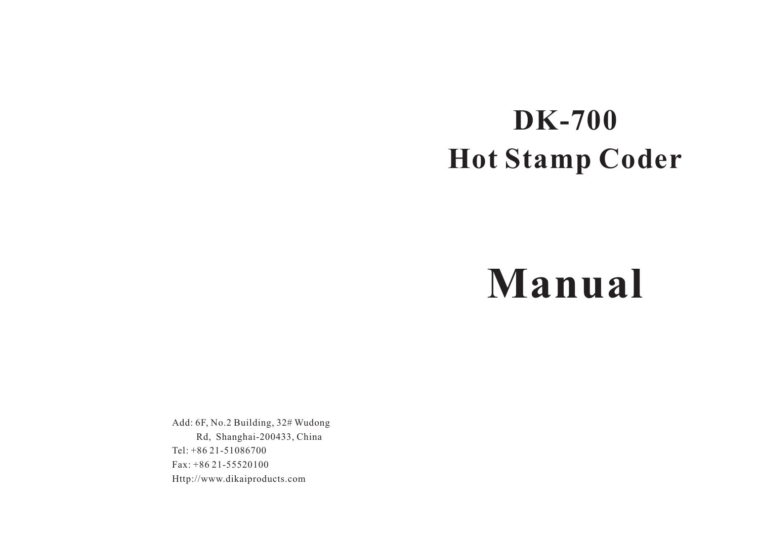## **DK-700 Hot Stamp Coder**

# **Manual**

Add: 6F, No.2 Building, 32# Wudong Rd, Shanghai-200433, China Tel: +86 21-51086700 Fax: +86 21-55520100 Http://www.dikaiproducts.com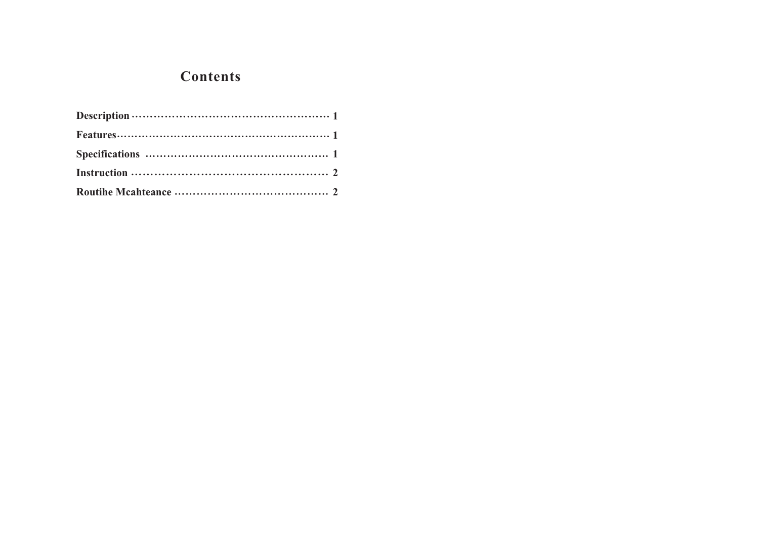#### **Contents**

| Instruction $\cdots$ $\cdots$ $\cdots$ $\cdots$ $\cdots$ $\cdots$ $\cdots$ $\cdots$ $\cdots$ $\cdots$ $\cdots$ $\cdots$ $\cdots$ $\cdots$ $\cdots$ $\cdots$ |
|-------------------------------------------------------------------------------------------------------------------------------------------------------------|
|                                                                                                                                                             |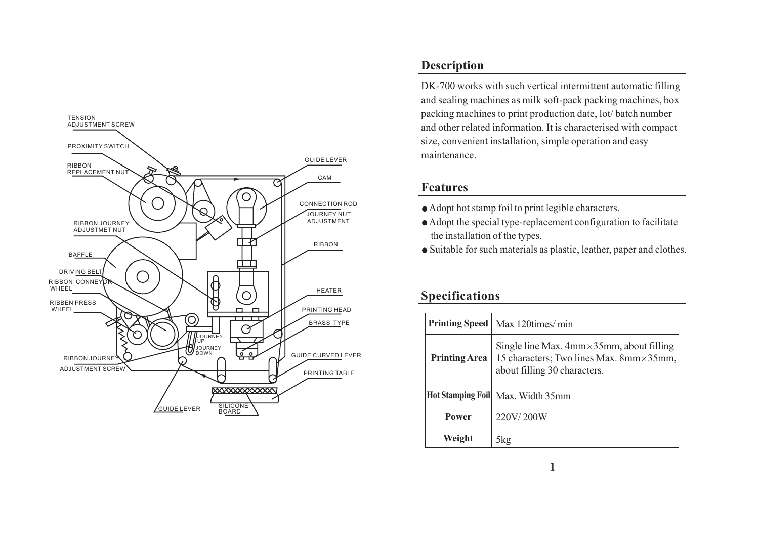

#### **Description**

DK-700 works with such vertical intermittent automatic filling and sealing machines as milk soft-pack packing machines, box packing machines to print production date, lot/ batch number and other related information. It is characterised with compac<sup>t</sup> size, convenient installation, simple operation and easy maintenance.

#### **Features**

- Adopt hot stamp foil to print legible characters.
- Adopt the special type-replacement configuration to facilitate the installation of the types.
- Suitable for such materials as plastic, leather, paper and clothes.

#### **Specifications**

|                      | <b>Printing Speed</b>   Max 120times/min                                                                                        |  |
|----------------------|---------------------------------------------------------------------------------------------------------------------------------|--|
| <b>Printing Area</b> | Single line Max. $4mm \times 35mm$ , about filling<br>15 characters; Two lines Max. 8mm × 35mm,<br>about filling 30 characters. |  |
|                      | Hot Stamping Foil Max. Width 35mm                                                                                               |  |
| <b>Power</b>         | 220V/200W                                                                                                                       |  |
| Weight               | 5kg                                                                                                                             |  |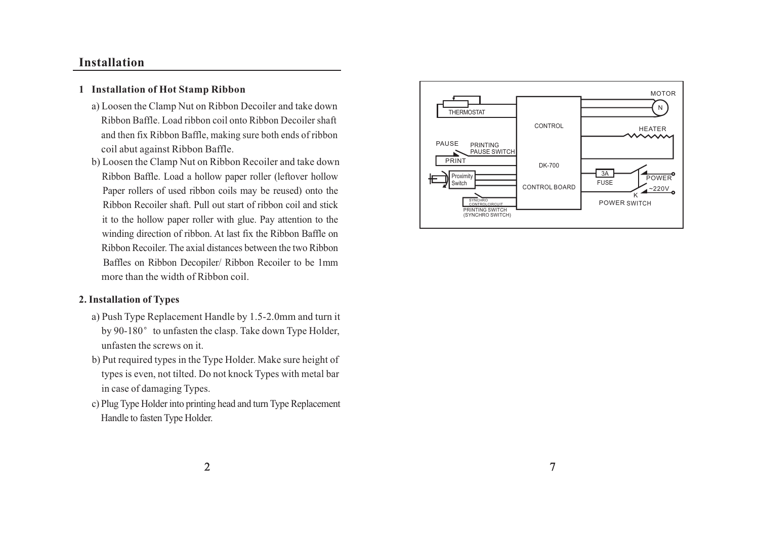#### **Installation**

#### **1 Installation of Hot Stamp Ribbon**

- a) Loosen the Clamp Nut on Ribbon Decoiler and take down Ribbon Baffle. Load ribbon coil onto Ribbon Decoiler shaftand then fix Ribbon Baffle, making sure both ends of ribbon coil abut against Ribbon Baffle.
- b) Loosen the Clamp Nut on Ribbon Recoiler and take down Ribbon Baffle. Load <sup>a</sup> hollow paper roller (leftover hollow Paper rollers of used ribbon coils may be reused) onto the Ribbon Recoiler shaft. Pull out start of ribbon coil and stickit to the hollow paper roller with glue. Pay attention to the winding direction of ribbon. At last fix the Ribbon Baffle on Ribbon Recoiler. The axial distances between the two RibbonBaffles on Ribbon Decopiler/ Ribbon Recoiler to be 1mm more than the width of Ribbon coil.

#### **2. Installation of Types**

- a) Push Type Replacement Handle by 1.5-2.0mm and turn it by 90-180° to unfasten the clasp. Take down Type Holder, unfasten the screws on it.
- b) Put required types in the Type Holder. Make sure height of types is even, not tilted. Do not knock Types with metal bar in case of damaging Types.
- c) Plug Type Holder into printing head and turn Type Replacement Handle to fasten Type Holder.

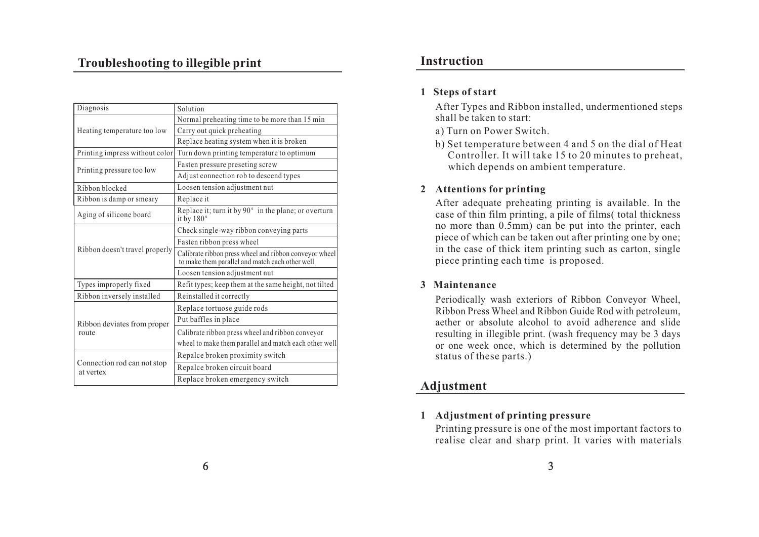### **Troubleshooting to illegible print Instruction**

| Diagnosis                            | Solution                                                                                                  |
|--------------------------------------|-----------------------------------------------------------------------------------------------------------|
|                                      | Normal preheating time to be more than 15 min                                                             |
| Heating temperature too low          | Carry out quick preheating                                                                                |
|                                      | Replace heating system when it is broken                                                                  |
| Printing impress without color       | Turn down printing temperature to optimum                                                                 |
| Printing pressure too low            | Fasten pressure preseting screw                                                                           |
|                                      | Adjust connection rob to descend types                                                                    |
| Ribbon blocked                       | Loosen tension adjustment nut                                                                             |
| Ribbon is damp or smeary             | Replace it                                                                                                |
| Aging of silicone board              | Replace it; turn it by 90° in the plane; or overturn<br>it by $180^\circ$                                 |
| Ribbon doesn't travel properly       | Check single-way ribbon conveying parts                                                                   |
|                                      | Fasten ribbon press wheel                                                                                 |
|                                      | Calibrate ribbon press wheel and ribbon conveyor wheel<br>to make them parallel and match each other well |
|                                      | Loosen tension adjustment nut                                                                             |
| Types improperly fixed               | Refit types; keep them at the same height, not tilted                                                     |
| Ribbon inversely installed           | Reinstalled it correctly                                                                                  |
| Ribbon deviates from proper<br>route | Replace tortuose guide rods                                                                               |
|                                      | Put baffles in place                                                                                      |
|                                      | Calibrate ribbon press wheel and ribbon conveyor                                                          |
|                                      | wheel to make them parallel and match each other well                                                     |
| Connection rod can not stop          | Repalce broken proximity switch                                                                           |
|                                      | Repalce broken circuit board                                                                              |
| at vertex                            | Replace broken emergency switch                                                                           |

#### **1 Steps of start**

After Types and Ribbon installed, undermentioned steps shall be taken to start:

- a) Turn on Power Switch.
- b) Set temperature between 4 and 5 on the dial of Heat Controller. It will take 15 to 20 minutes to preheat, which depends on ambient temperature.

#### **2 Attentions for printing**

After adequate preheating printing is available. In the case of thin film printing, <sup>a</sup> pile of films( total thickness no more than 0.5mm) can be pu<sup>t</sup> into the printer, each piece of which can be taken out after printing one by one; in the case of thick item printing such as carton, single piece printing each time is proposed.

#### **3 Maintenance**

Periodically wash exteriors of Ribbon Conveyor Wheel, Ribbon Press Wheel and Ribbon Guide Rod with petroleum, aether or absolute alcohol to avoid adherence and slide resulting in illegible print. (wash frequency may be 3 days or one week once, which is determined by the pollution status of these parts.)

#### **Adjustment**

#### **1 Adjustment of printing pressure**

Printing pressure is one of the most important factors to realise clear and sharp print. It varies with materials